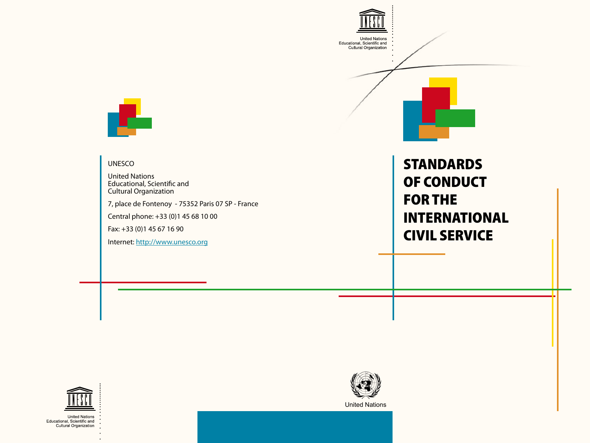

**United Nations** Educational, Scientific and Cultural Organization

# **STANDARDS** OF CONDUCT for the international civil service



United Nations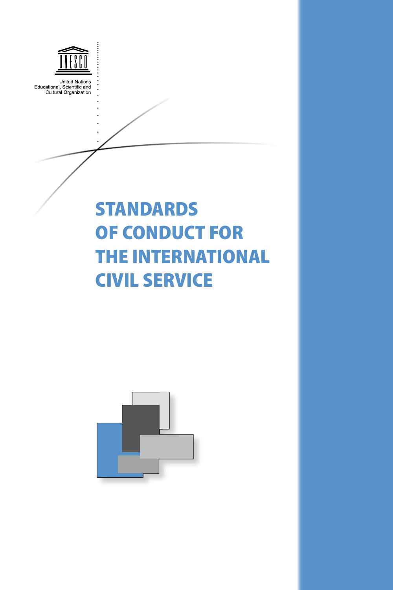

**United Nations** onied Nations<br>Educational, Scientific and<br>Cultural Organization

# STANDARDS OF CONDUCT FOR THE INTERNATIONAL CIVIL SERVICE

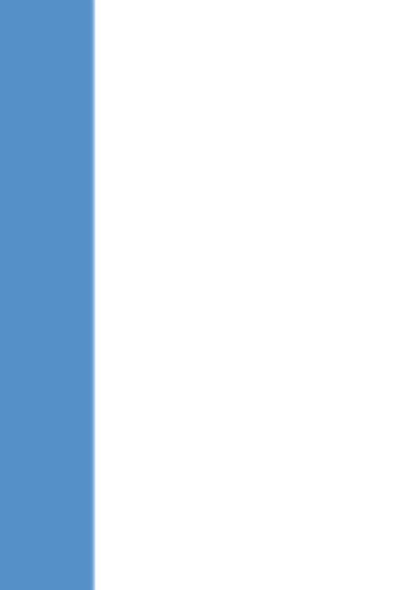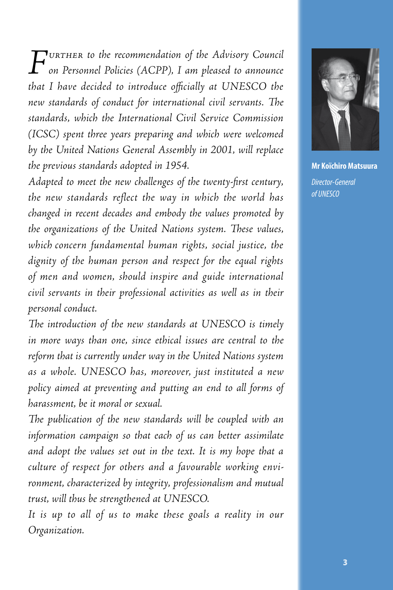*Further to the recommendation of the Advisory Council on Personnel Policies (ACPP), I am pleased to announce that I have decided to introduce officially at UNESCO the new standards of conduct for international civil servants. The standards, which the International Civil Service Commission (ICSC) spent three years preparing and which were welcomed by the United Nations General Assembly in 2001, will replace the previous standards adopted in 1954.*

*Adapted to meet the new challenges of the twenty-first century, the new standards reflect the way in which the world has changed in recent decades and embody the values promoted by the organizations of the United Nations system. These values, which concern fundamental human rights, social justice, the dignity of the human person and respect for the equal rights of men and women, should inspire and guide international civil servants in their professional activities as well as in their personal conduct.*

*The introduction of the new standards at UNESCO is timely in more ways than one, since ethical issues are central to the reform that is currently under way in the United Nations system as a whole. UNESCO has, moreover, just instituted a new policy aimed at preventing and putting an end to all forms of harassment, be it moral or sexual.*

*The publication of the new standards will be coupled with an information campaign so that each of us can better assimilate and adopt the values set out in the text. It is my hope that a culture of respect for others and a favourable working environment, characterized by integrity, professionalism and mutual trust, will thus be strengthened at UNESCO.*

*It is up to all of us to make these goals a reality in our Organization.*



**Mr Koïchiro Matsuura** *Director-General of UNESCO*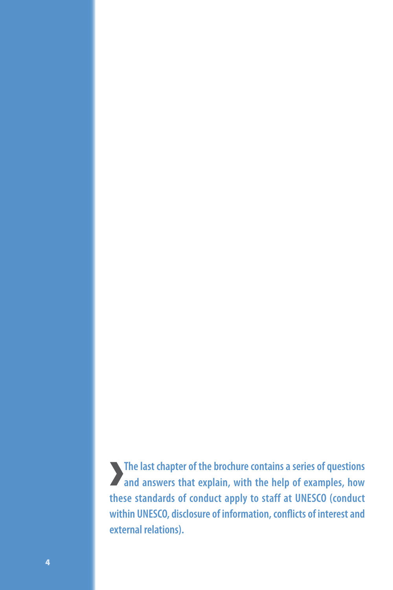**I**<br>the **The last chapter of the brochure contains a series of questions and answers that explain, with the help of examples, how these standards of conduct apply to staff at UNESCO (conduct within UNESCO, disclosure of information, conflicts of interest and external relations).**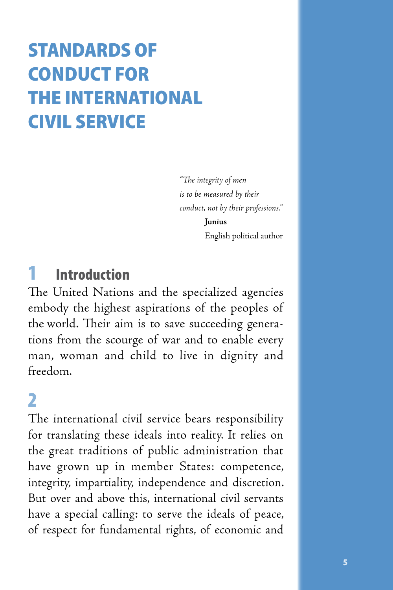# STANDARDS OF CONDUCT FOR THE INTERNATIONAL CIVIL SERVICE

*"The integrity of men is to be measured by their conduct, not by their professions."*

> **Junius** English political author

#### 1 Introduction

The United Nations and the specialized agencies embody the highest aspirations of the peoples of the world. Their aim is to save succeeding generations from the scourge of war and to enable every man, woman and child to live in dignity and freedom.

#### 2

The international civil service bears responsibility for translating these ideals into reality. It relies on the great traditions of public administration that have grown up in member States: competence, integrity, impartiality, independence and discretion. But over and above this, international civil servants have a special calling: to serve the ideals of peace, of respect for fundamental rights, of economic and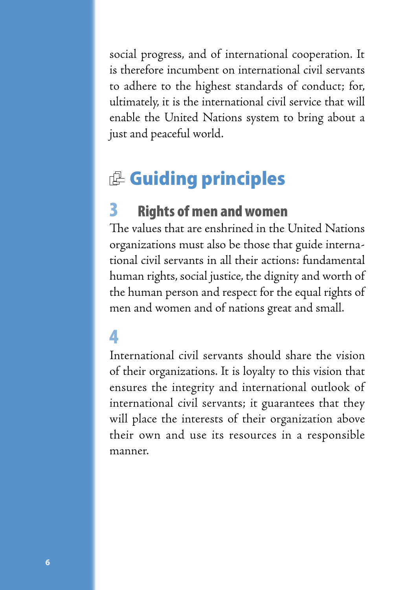social progress, and of international cooperation. It is therefore incumbent on international civil servants to adhere to the highest standards of conduct; for, ultimately, it is the international civil service that will enable the United Nations system to bring about a just and peaceful world.

# Guiding principles

#### **Rights of men and women**

The values that are enshrined in the United Nations organizations must also be those that guide international civil servants in all their actions: fundamental human rights, social justice, the dignity and worth of the human person and respect for the equal rights of men and women and of nations great and small.

### $\blacktriangle$

International civil servants should share the vision of their organizations. It is loyalty to this vision that ensures the integrity and international outlook of international civil servants; it guarantees that they will place the interests of their organization above their own and use its resources in a responsible manner.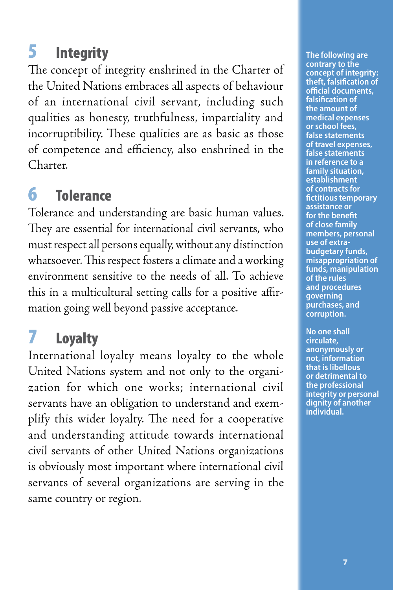# **5** Integrity

The concept of integrity enshrined in the Charter of the United Nations embraces all aspects of behaviour of an international civil servant, including such qualities as honesty, truthfulness, impartiality and incorruptibility. These qualities are as basic as those of competence and efficiency, also enshrined in the Charter.

# 6 Tolerance

Tolerance and understanding are basic human values. They are essential for international civil servants, who must respect all persons equally, without any distinction whatsoever. This respect fosters a climate and a working environment sensitive to the needs of all. To achieve this in a multicultural setting calls for a positive affirmation going well beyond passive acceptance.

# 7 Loyalty

International loyalty means loyalty to the whole United Nations system and not only to the organization for which one works; international civil servants have an obligation to understand and exemplify this wider loyalty. The need for a cooperative and understanding attitude towards international civil servants of other United Nations organizations is obviously most important where international civil servants of several organizations are serving in the same country or region.

**The following are contrary to the concept of integrity: theft, falsification of official documents, falsification of the amount of medical expenses or school fees, false statements of travel expenses, false statements in reference to a family situation, establishment of contracts for fictitious temporary assistance or for the benefit of close family members, personal use of extrabudgetary funds, misappropriation of funds, manipulation of the rules and procedures governing purchases, and corruption.**

**No one shall circulate, anonymously or not, information that is libellous or detrimental to the professional integrity or personal dignity of another individual.**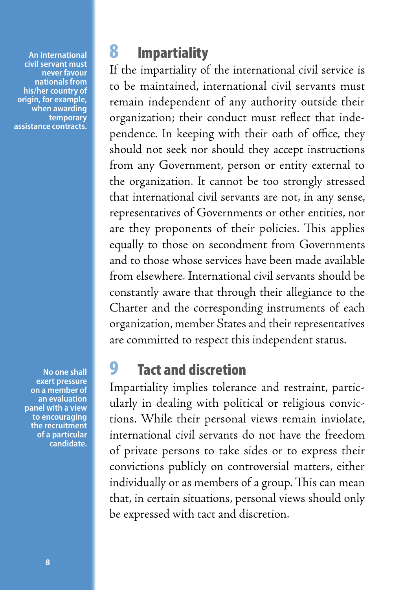**An international civil servant must never favour nationals from his/her country of origin, for example, when awarding temporary assistance contracts.**

> **No one shall exert pressure on a member of an evaluation panel with a view to encouraging the recruitment of a particular candidate.**

#### 8 Impartiality

If the impartiality of the international civil service is to be maintained, international civil servants must remain independent of any authority outside their organization; their conduct must reflect that independence. In keeping with their oath of office, they should not seek nor should they accept instructions from any Government, person or entity external to the organization. It cannot be too strongly stressed that international civil servants are not, in any sense, representatives of Governments or other entities, nor are they proponents of their policies. This applies equally to those on secondment from Governments and to those whose services have been made available from elsewhere. International civil servants should be constantly aware that through their allegiance to the Charter and the corresponding instruments of each organization, member States and their representatives are committed to respect this independent status.

#### **9** Tact and discretion

Impartiality implies tolerance and restraint, particularly in dealing with political or religious convictions. While their personal views remain inviolate, international civil servants do not have the freedom of private persons to take sides or to express their convictions publicly on controversial matters, either individually or as members of a group. This can mean that, in certain situations, personal views should only be expressed with tact and discretion.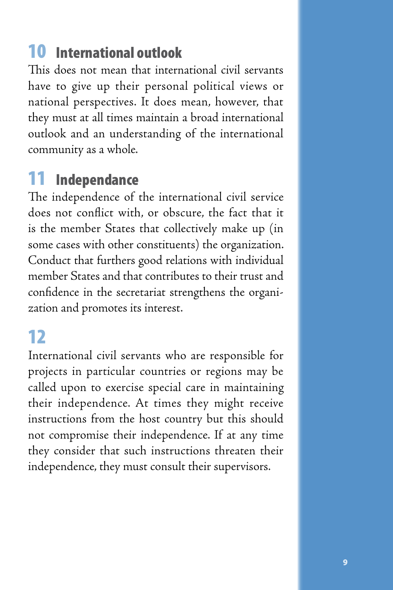# 10 International outlook

This does not mean that international civil servants have to give up their personal political views or national perspectives. It does mean, however, that they must at all times maintain a broad international outlook and an understanding of the international community as a whole.

### 11 Independance

The independence of the international civil service does not conflict with, or obscure, the fact that it is the member States that collectively make up (in some cases with other constituents) the organization. Conduct that furthers good relations with individual member States and that contributes to their trust and confidence in the secretariat strengthens the organization and promotes its interest.

# 12

International civil servants who are responsible for projects in particular countries or regions may be called upon to exercise special care in maintaining their independence. At times they might receive instructions from the host country but this should not compromise their independence. If at any time they consider that such instructions threaten their independence, they must consult their supervisors.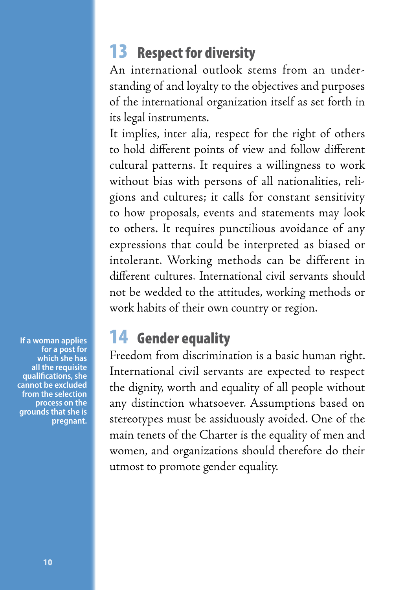### **13** Respect for diversity

An international outlook stems from an understanding of and loyalty to the objectives and purposes of the international organization itself as set forth in its legal instruments.

It implies, inter alia, respect for the right of others to hold different points of view and follow different cultural patterns. It requires a willingness to work without bias with persons of all nationalities, religions and cultures; it calls for constant sensitivity to how proposals, events and statements may look to others. It requires punctilious avoidance of any expressions that could be interpreted as biased or intolerant. Working methods can be different in different cultures. International civil servants should not be wedded to the attitudes, working methods or work habits of their own country or region.

#### **14** Gender equality

Freedom from discrimination is a basic human right. International civil servants are expected to respect the dignity, worth and equality of all people without any distinction whatsoever. Assumptions based on stereotypes must be assiduously avoided. One of the main tenets of the Charter is the equality of men and women, and organizations should therefore do their utmost to promote gender equality.

**If a woman applies for a post for which she has all the requisite qualifications, she cannot be excluded from the selection process on the grounds that she is pregnant.**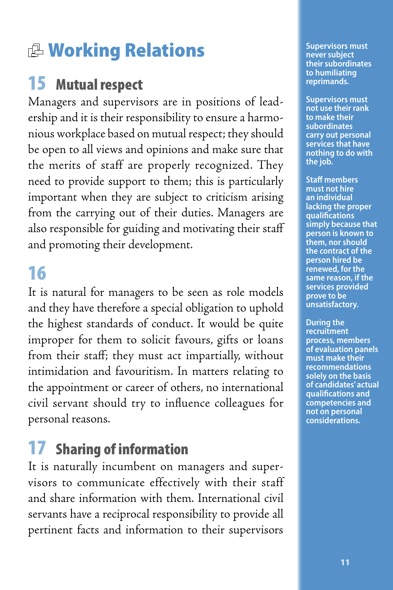# Working Relations

### **15** Mutual respect

Managers and supervisors are in positions of leadership and it is their responsibility to ensure a harmonious workplace based on mutual respect; they should be open to all views and opinions and make sure that the merits of staff are properly recognized. They need to provide support to them; this is particularly important when they are subject to criticism arising from the carrying out of their duties. Managers are also responsible for guiding and motivating their staff and promoting their development.

## 16

It is natural for managers to be seen as role models and they have therefore a special obligation to uphold the highest standards of conduct. It would be quite improper for them to solicit favours, gifts or loans from their staff; they must act impartially, without intimidation and favouritism. In matters relating to the appointment or career of others, no international civil servant should try to influence colleagues for personal reasons.

# 17 Sharing of information

It is naturally incumbent on managers and supervisors to communicate effectively with their staff and share information with them. International civil servants have a reciprocal responsibility to provide all pertinent facts and information to their supervisors

**Supervisors must never subject their subordinates to humiliating reprimands.**

**Supervisors must not use their rank to make their subordinates carry out personal services that have nothing to do with the job.**

**Staff members must not hire an individual lacking the proper qualifications simply because that person is known to them, nor should the contract of the person hired be renewed, for the same reason, if the services provided prove to be unsatisfactory.**

**During the recruitment process, members of evaluation panels must make their recommendations solely on the basis of candidates' actual qualifications and competencies and not on personal considerations.**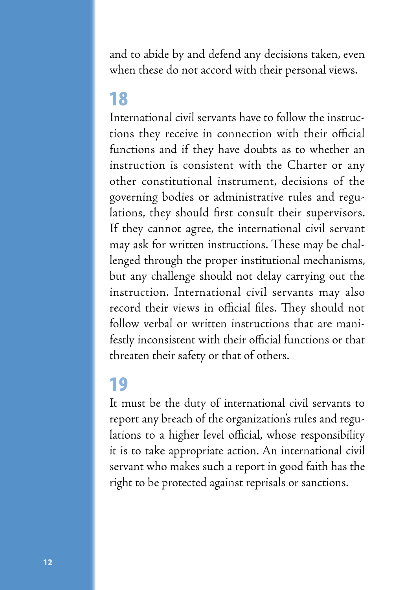and to abide by and defend any decisions taken, even when these do not accord with their personal views.

## 18

International civil servants have to follow the instructions they receive in connection with their official functions and if they have doubts as to whether an instruction is consistent with the Charter or any other constitutional instrument, decisions of the governing bodies or administrative rules and regulations, they should first consult their supervisors. If they cannot agree, the international civil servant may ask for written instructions. These may be challenged through the proper institutional mechanisms, but any challenge should not delay carrying out the instruction. International civil servants may also record their views in official files. They should not follow verbal or written instructions that are manifestly inconsistent with their official functions or that threaten their safety or that of others.

### 19

It must be the duty of international civil servants to report any breach of the organization's rules and regulations to a higher level official, whose responsibility it is to take appropriate action. An international civil servant who makes such a report in good faith has the right to be protected against reprisals or sanctions.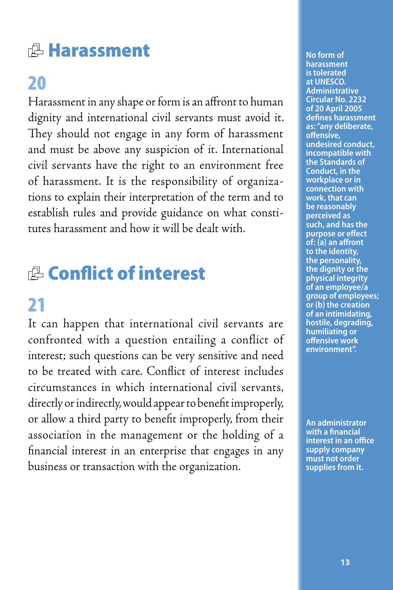## **母 Harassment**

## 20

Harassment in any shape or form is an affront to human dignity and international civil servants must avoid it. They should not engage in any form of harassment and must be above any suspicion of it. International civil servants have the right to an environment free of harassment. It is the responsibility of organizations to explain their interpretation of the term and to establish rules and provide guidance on what constitutes harassment and how it will be dealt with.

### Conflict of interest

### 21

It can happen that international civil servants are confronted with a question entailing a conflict of interest; such questions can be very sensitive and need to be treated with care. Conflict of interest includes circumstances in which international civil servants, directly or indirectly, would appear to benefit improperly, or allow a third party to benefit improperly, from their association in the management or the holding of a financial interest in an enterprise that engages in any business or transaction with the organization.

**No form of harassment is tolerated at UNESCO. Administrative Circular No. 2232 of 20 April 2005 defines harassment as: "any deliberate, offensive, undesired conduct, incompatible with the Standards of Conduct, in the workplace or in connection with work, that can be reasonably perceived as such, and has the purpose or effect of: (a) an affront to the identity, the personality, the dignity or the physical integrity of an employee/a group of employees; or (b) the creation of an intimidating, hostile, degrading, humiliating or offensive work environment".**

**An administrator with a financial interest in an office supply company must not order supplies from it.**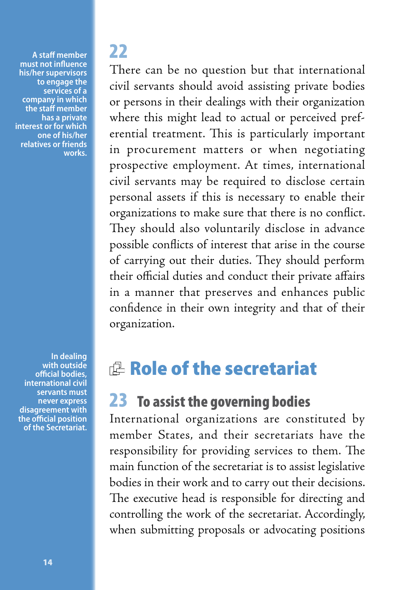**A staff member must not influence his/her supervisors to engage the services of a company in which the staff member has a private interest or for which one of his/her relatives or friends works.**

**In dealing with outside official bodies, international civil servants must never express disagreement with the official position of the Secretariat.** 

# 22

There can be no question but that international civil servants should avoid assisting private bodies or persons in their dealings with their organization where this might lead to actual or perceived preferential treatment. This is particularly important in procurement matters or when negotiating prospective employment. At times, international civil servants may be required to disclose certain personal assets if this is necessary to enable their organizations to make sure that there is no conflict. They should also voluntarily disclose in advance possible conflicts of interest that arise in the course of carrying out their duties. They should perform their official duties and conduct their private affairs in a manner that preserves and enhances public confidence in their own integrity and that of their organization.

# Role of the secretariat

#### 23 To assist the governing bodies

International organizations are constituted by member States, and their secretariats have the responsibility for providing services to them. The main function of the secretariat is to assist legislative bodies in their work and to carry out their decisions. The executive head is responsible for directing and controlling the work of the secretariat. Accordingly, when submitting proposals or advocating positions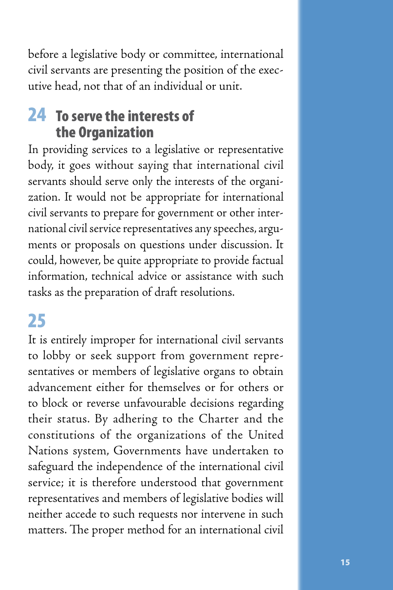before a legislative body or committee, international civil servants are presenting the position of the executive head, not that of an individual or unit.

#### 24 To serve the interests of the Organization

In providing services to a legislative or representative body, it goes without saying that international civil servants should serve only the interests of the organization. It would not be appropriate for international civil servants to prepare for government or other international civil service representatives any speeches, arguments or proposals on questions under discussion. It could, however, be quite appropriate to provide factual information, technical advice or assistance with such tasks as the preparation of draft resolutions.

# 25

It is entirely improper for international civil servants to lobby or seek support from government representatives or members of legislative organs to obtain advancement either for themselves or for others or to block or reverse unfavourable decisions regarding their status. By adhering to the Charter and the constitutions of the organizations of the United Nations system, Governments have undertaken to safeguard the independence of the international civil service; it is therefore understood that government representatives and members of legislative bodies will neither accede to such requests nor intervene in such matters. The proper method for an international civil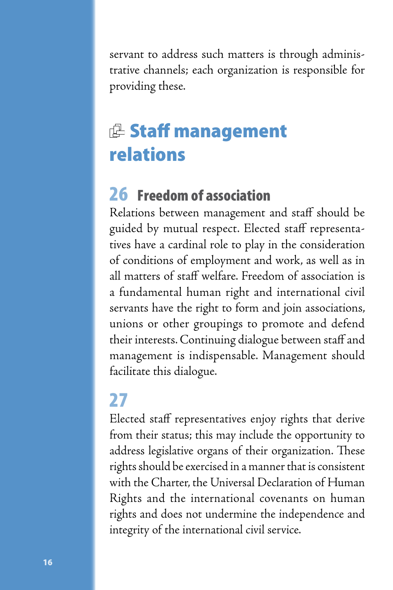servant to address such matters is through administrative channels; each organization is responsible for providing these.

# Staff management relations

#### 26 Freedom of association

Relations between management and staff should be guided by mutual respect. Elected staff representatives have a cardinal role to play in the consideration of conditions of employment and work, as well as in all matters of staff welfare. Freedom of association is a fundamental human right and international civil servants have the right to form and join associations, unions or other groupings to promote and defend their interests. Continuing dialogue between staff and management is indispensable. Management should facilitate this dialogue.

### 27

Elected staff representatives enjoy rights that derive from their status; this may include the opportunity to address legislative organs of their organization. These rights should be exercised in a manner that is consistent with the Charter, the Universal Declaration of Human Rights and the international covenants on human rights and does not undermine the independence and integrity of the international civil service.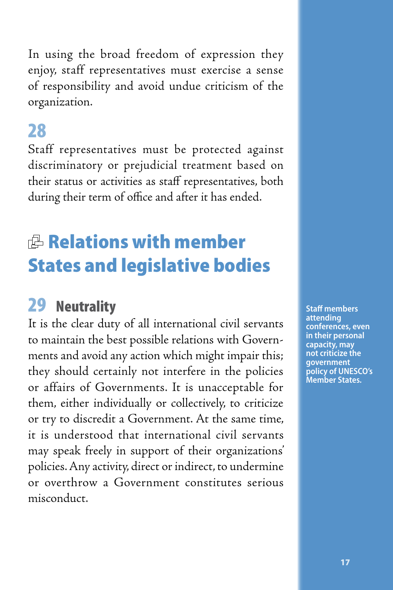In using the broad freedom of expression they enjoy, staff representatives must exercise a sense of responsibility and avoid undue criticism of the organization.

## 28

Staff representatives must be protected against discriminatory or prejudicial treatment based on their status or activities as staff representatives, both during their term of office and after it has ended.

# Relations with member States and legislative bodies

### 29 Neutrality

It is the clear duty of all international civil servants to maintain the best possible relations with Governments and avoid any action which might impair this; they should certainly not interfere in the policies or affairs of Governments. It is unacceptable for them, either individually or collectively, to criticize or try to discredit a Government. At the same time, it is understood that international civil servants may speak freely in support of their organizations' policies. Any activity, direct or indirect, to undermine or overthrow a Government constitutes serious misconduct.

**Staff members attending conferences, even in their personal capacity, may not criticize the government policy of UNESCO's Member States.**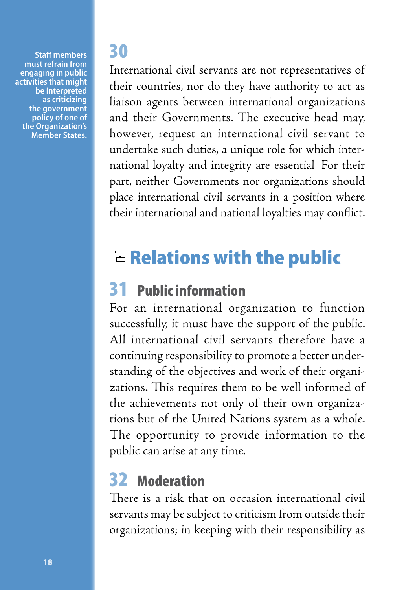**Staff members must refrain from engaging in public activities that might be interpreted as criticizing the government policy of one of the Organization's Member States.**

#### 30

International civil servants are not representatives of their countries, nor do they have authority to act as liaison agents between international organizations and their Governments. The executive head may, however, request an international civil servant to undertake such duties, a unique role for which international loyalty and integrity are essential. For their part, neither Governments nor organizations should place international civil servants in a position where their international and national loyalties may conflict.

# $\mathbb B$  Relations with the public

### 31 Publicinformation

For an international organization to function successfully, it must have the support of the public. All international civil servants therefore have a continuing responsibility to promote a better understanding of the objectives and work of their organizations. This requires them to be well informed of the achievements not only of their own organizations but of the United Nations system as a whole. The opportunity to provide information to the public can arise at any time.

### 32 Moderation

There is a risk that on occasion international civil servants may be subject to criticism from outside their organizations; in keeping with their responsibility as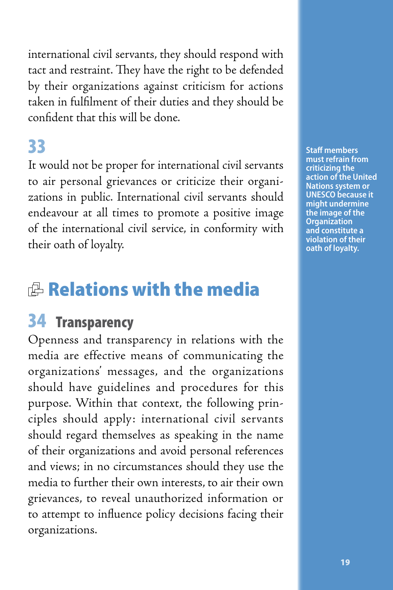international civil servants, they should respond with tact and restraint. They have the right to be defended by their organizations against criticism for actions taken in fulfilment of their duties and they should be confident that this will be done.

# 33

It would not be proper for international civil servants to air personal grievances or criticize their organizations in public. International civil servants should endeavour at all times to promote a positive image of the international civil service, in conformity with their oath of loyalty.

# Relations with the media

### 34 Transparency

Openness and transparency in relations with the media are effective means of communicating the organizations' messages, and the organizations should have guidelines and procedures for this purpose. Within that context, the following principles should apply: international civil servants should regard themselves as speaking in the name of their organizations and avoid personal references and views; in no circumstances should they use the media to further their own interests, to air their own grievances, to reveal unauthorized information or to attempt to influence policy decisions facing their organizations.

**Staff members must refrain from criticizing the action of the United Nations system or UNESCO because it might undermine the image of the Organization and constitute a violation of their oath of loyalty.**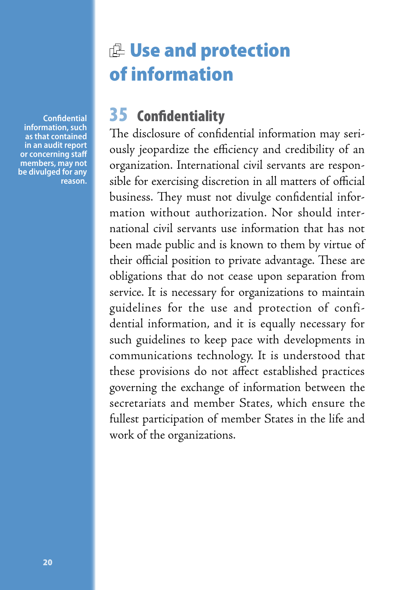# Use and protection of information

#### **35** Confidentiality

The disclosure of confidential information may seriously jeopardize the efficiency and credibility of an organization. International civil servants are responsible for exercising discretion in all matters of official business. They must not divulge confidential information without authorization. Nor should international civil servants use information that has not been made public and is known to them by virtue of their official position to private advantage. These are obligations that do not cease upon separation from service. It is necessary for organizations to maintain guidelines for the use and protection of confidential information, and it is equally necessary for such guidelines to keep pace with developments in communications technology. It is understood that these provisions do not affect established practices governing the exchange of information between the secretariats and member States, which ensure the fullest participation of member States in the life and work of the organizations.

**Confidential information, such as that contained in an audit report or concerning staff members, may not be divulged for any reason.**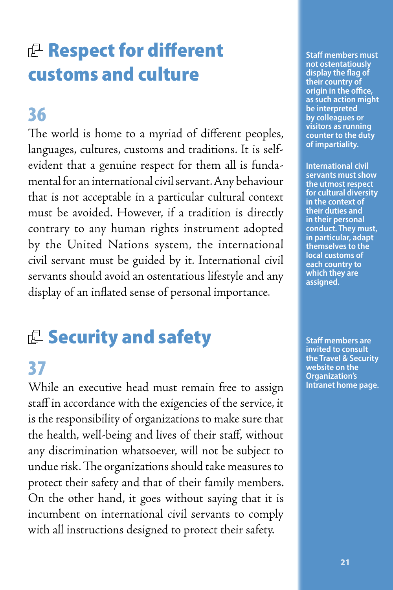# Respect for different customs and culture

## 36

The world is home to a myriad of different peoples, languages, cultures, customs and traditions. It is selfevident that a genuine respect for them all is fundamental for an international civil servant. Any behaviour that is not acceptable in a particular cultural context must be avoided. However, if a tradition is directly contrary to any human rights instrument adopted by the United Nations system, the international civil servant must be guided by it. International civil servants should avoid an ostentatious lifestyle and any display of an inflated sense of personal importance.

# B Security and safety

### 37

While an executive head must remain free to assign staff in accordance with the exigencies of the service, it is the responsibility of organizations to make sure that the health, well-being and lives of their staff, without any discrimination whatsoever, will not be subject to undue risk. The organizations should take measures to protect their safety and that of their family members. On the other hand, it goes without saying that it is incumbent on international civil servants to comply with all instructions designed to protect their safety.

**Staff members must not ostentatiously display the flag of their country of origin in the office, as such action might be interpreted by colleagues or visitors as running counter to the duty of impartiality.** 

**International civil servants must show the utmost respect for cultural diversity in the context of their duties and in their personal conduct. They must, in particular, adapt themselves to the local customs of each country to which they are assigned.**

**Staff members are invited to consult the Travel & Security website on the Organization's Intranet home page.**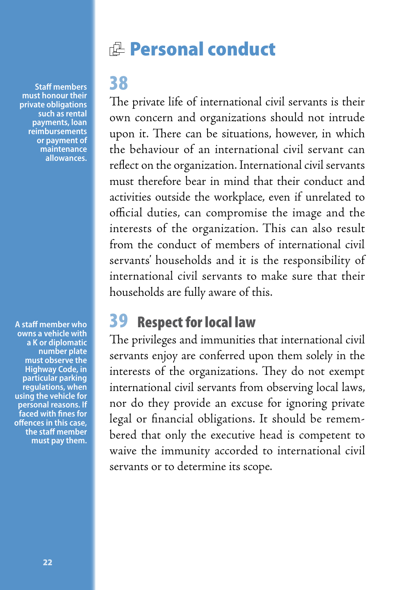**Staff members must honour their private obligations such as rental payments, loan reimbursements or payment of maintenance allowances.**

**A staff member who owns a vehicle with a K or diplomatic number plate must observe the Highway Code, in particular parking regulations, when using the vehicle for personal reasons. If faced with fines for offences in this case, the staff member must pay them.**

# Personal conduct

#### 38

The private life of international civil servants is their own concern and organizations should not intrude upon it. There can be situations, however, in which the behaviour of an international civil servant can reflect on the organization. International civil servants must therefore bear in mind that their conduct and activities outside the workplace, even if unrelated to official duties, can compromise the image and the interests of the organization. This can also result from the conduct of members of international civil servants' households and it is the responsibility of international civil servants to make sure that their households are fully aware of this.

#### **39** Respect for local law

The privileges and immunities that international civil servants enjoy are conferred upon them solely in the interests of the organizations. They do not exempt international civil servants from observing local laws, nor do they provide an excuse for ignoring private legal or financial obligations. It should be remembered that only the executive head is competent to waive the immunity accorded to international civil servants or to determine its scope.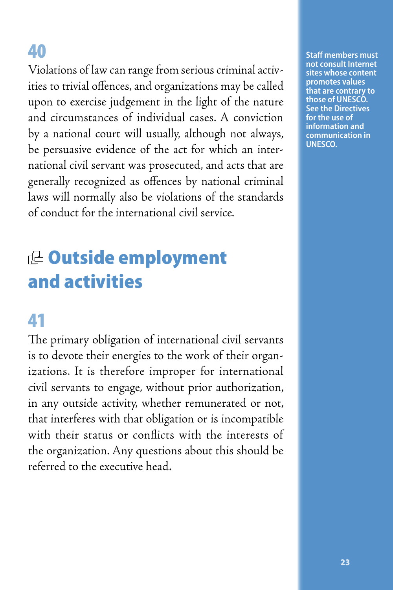### 40

Violations of law can range from serious criminal activities to trivial offences, and organizations may be called upon to exercise judgement in the light of the nature and circumstances of individual cases. A conviction by a national court will usually, although not always, be persuasive evidence of the act for which an international civil servant was prosecuted, and acts that are generally recognized as offences by national criminal laws will normally also be violations of the standards of conduct for the international civil service.

# Outside employment and activities

### 41

The primary obligation of international civil servants is to devote their energies to the work of their organizations. It is therefore improper for international civil servants to engage, without prior authorization, in any outside activity, whether remunerated or not, that interferes with that obligation or is incompatible with their status or conflicts with the interests of the organization. Any questions about this should be referred to the executive head.

**Staff members must not consult Internet sites whose content promotes values that are contrary to those of UNESCO. See the Directives for the use of information and communication in UNESCO.**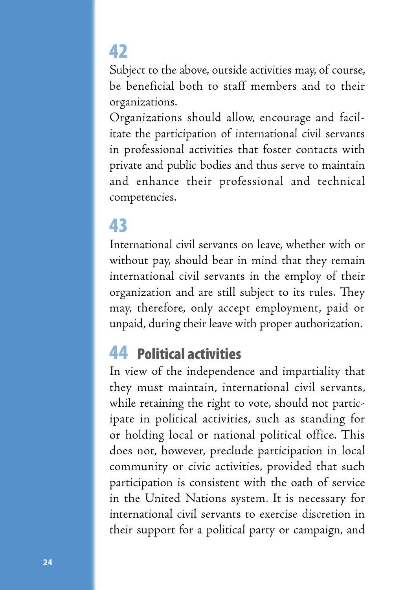### 42

Subject to the above, outside activities may, of course, be beneficial both to staff members and to their organizations.

Organizations should allow, encourage and facilitate the participation of international civil servants in professional activities that foster contacts with private and public bodies and thus serve to maintain and enhance their professional and technical competencies.

### 43

International civil servants on leave, whether with or without pay, should bear in mind that they remain international civil servants in the employ of their organization and are still subject to its rules. They may, therefore, only accept employment, paid or unpaid, during their leave with proper authorization.

#### 44 Political activities

In view of the independence and impartiality that they must maintain, international civil servants, while retaining the right to vote, should not participate in political activities, such as standing for or holding local or national political office. This does not, however, preclude participation in local community or civic activities, provided that such participation is consistent with the oath of service in the United Nations system. It is necessary for international civil servants to exercise discretion in their support for a political party or campaign, and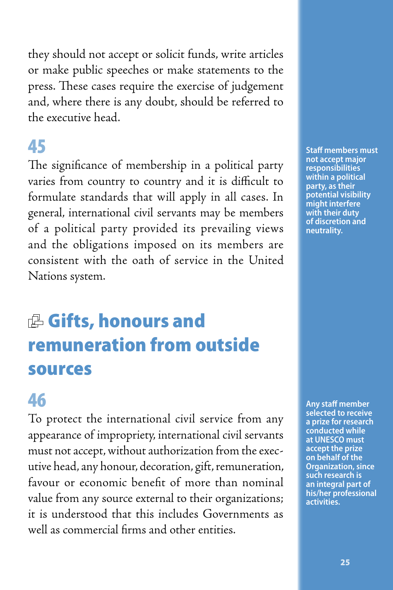they should not accept or solicit funds, write articles or make public speeches or make statements to the press. These cases require the exercise of judgement and, where there is any doubt, should be referred to the executive head.

## 45

The significance of membership in a political party varies from country to country and it is difficult to formulate standards that will apply in all cases. In general, international civil servants may be members of a political party provided its prevailing views and the obligations imposed on its members are consistent with the oath of service in the United Nations system.

# Gifts, honours and remuneration from outside sources

46

To protect the international civil service from any appearance of impropriety, international civil servants must not accept, without authorization from the executive head, any honour, decoration, gift, remuneration, favour or economic benefit of more than nominal value from any source external to their organizations; it is understood that this includes Governments as well as commercial firms and other entities.

**Staff members must not accept major responsibilities within a political party, as their potential visibility might interfere with their duty of discretion and neutrality.**

**Any staff member selected to receive a prize for research conducted while at UNESCO must accept the prize on behalf of the Organization, since such research is an integral part of his/her professional activities.**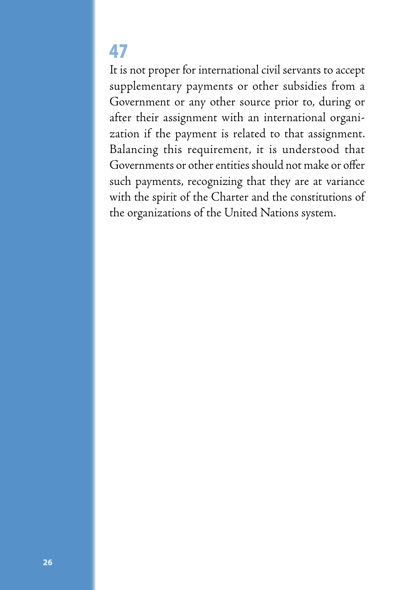### 47

It is not proper for international civil servants to accept supplementary payments or other subsidies from a Government or any other source prior to, during or after their assignment with an international organization if the payment is related to that assignment. Balancing this requirement, it is understood that Governments or other entities should not make or offer such payments, recognizing that they are at variance with the spirit of the Charter and the constitutions of the organizations of the United Nations system.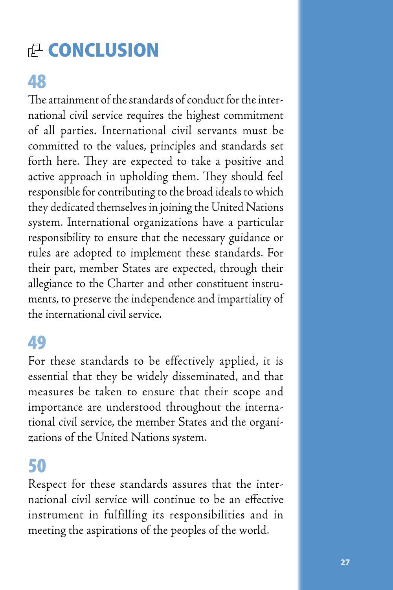# **凸 CONCLUSION**

## 48

The attainment of the standards of conduct for the international civil service requires the highest commitment of all parties. International civil servants must be committed to the values, principles and standards set forth here. They are expected to take a positive and active approach in upholding them. They should feel responsible for contributing to the broad ideals to which they dedicated themselves in joining the United Nations system. International organizations have a particular responsibility to ensure that the necessary guidance or rules are adopted to implement these standards. For their part, member States are expected, through their allegiance to the Charter and other constituent instruments, to preserve the independence and impartiality of the international civil service.

## 49

For these standards to be effectively applied, it is essential that they be widely disseminated, and that measures be taken to ensure that their scope and importance are understood throughout the international civil service, the member States and the organizations of the United Nations system.

### 50

Respect for these standards assures that the international civil service will continue to be an effective instrument in fulfilling its responsibilities and in meeting the aspirations of the peoples of the world.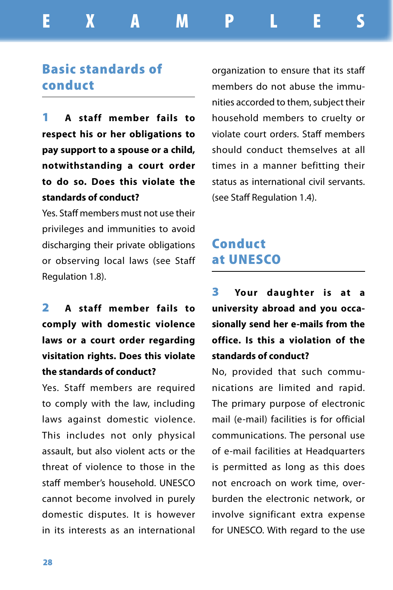#### Basic standards of conduct

1 **A staff member fails to respect his or her obligations to pay support to a spouse or a child, notwithstanding a court order to do so. Does this violate the standards of conduct?**

Yes. Staff members must not use their privileges and immunities to avoid discharging their private obligations or observing local laws (see Staff Regulation 1.8).

2 **A staff member fails to comply with domestic violence laws or a court order regarding visitation rights. Does this violate the standards of conduct?**

Yes. Staff members are required to comply with the law, including laws against domestic violence. This includes not only physical assault, but also violent acts or the threat of violence to those in the staff member's household. UNESCO cannot become involved in purely domestic disputes. It is however in its interests as an international

organization to ensure that its staff members do not abuse the immunities accorded to them, subject their household members to cruelty or violate court orders. Staff members should conduct themselves at all times in a manner befitting their status as international civil servants. (see Staff Regulation 1.4).

#### Conduct at UNESCO

3 **Your daughter is at a university abroad and you occasionally send her e-mails from the office. Is this a violation of the standards of conduct?**

No, provided that such communications are limited and rapid. The primary purpose of electronic mail (e-mail) facilities is for official communications. The personal use of e-mail facilities at Headquarters is permitted as long as this does not encroach on work time, overburden the electronic network, or involve significant extra expense for UNESCO. With regard to the use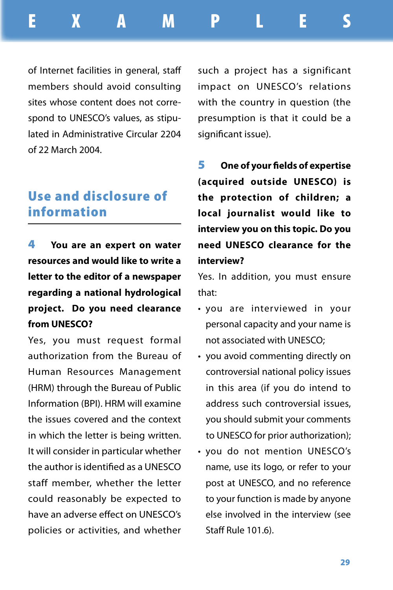E X A M P L E S

of Internet facilities in general, staff members should avoid consulting sites whose content does not correspond to UNESCO's values, as stipulated in Administrative Circular 2204 of 22 March 2004.

#### Use and disclosure of information

4 **You are an expert on water resources and would like to write a letter to the editor of a newspaper regarding a national hydrological project. Do you need clearance from UNESCO?**

Yes, you must request formal authorization from the Bureau of Human Resources Management (HRM) through the Bureau of Public Information (BPI). HRM will examine the issues covered and the context in which the letter is being written. It will consider in particular whether the author is identified as a UNESCO staff member, whether the letter could reasonably be expected to have an adverse effect on UNESCO's policies or activities, and whether

such a project has a significant impact on UNESCO's relations with the country in question (the presumption is that it could be a significant issue).

5 **One of your fields of expertise (acquired outside UNESCO) is the protection of children; a local journalist would like to interview you on this topic. Do you need UNESCO clearance for the interview?**

Yes. In addition, you must ensure that:

- you are interviewed in your personal capacity and your name is not associated with UNESCO;
- you avoid commenting directly on controversial national policy issues in this area (if you do intend to address such controversial issues, you should submit your comments to UNESCO for prior authorization);
- you do not mention UNESCO's name, use its logo, or refer to your post at UNESCO, and no reference to your function is made by anyone else involved in the interview (see Staff Rule  $101.6$ ).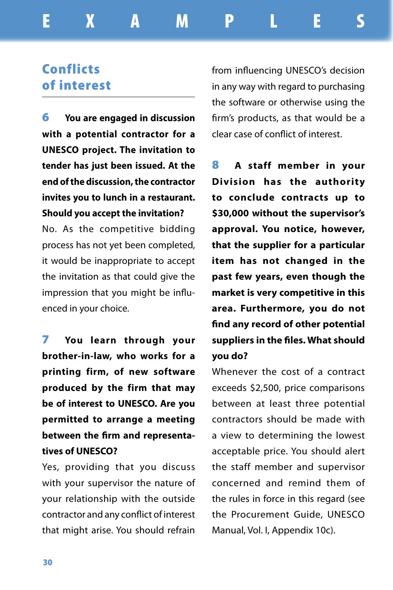#### **Conflicts** of interest

6 **You are engaged in discussion with a potential contractor for a UNESCO project. The invitation to tender has just been issued. At the end ofthe discussion,the contractor invites you to lunch in a restaurant. Should you accept the invitation?**

No. As the competitive bidding process has not yet been completed, it would be inappropriate to accept the invitation as that could give the impression that you might be influenced in your choice.

7 **You learn through your brother-in-law, who works for a printing firm, of new software produced by the firm that may be of interest to UNESCO. Are you permitted to arrange a meeting between the firm and representatives of UNESCO?**

Yes, providing that you discuss with your supervisor the nature of your relationship with the outside contractor and any conflict of interest that might arise. You should refrain

from influencing UNESCO's decision in any way with regard to purchasing the software or otherwise using the firm's products, as that would be a clear case of conflict of interest.

8 **A staff member in your Division has the authority to conclude contracts up to \$30,000 without the supervisor's approval. You notice, however, that the supplier for a particular item has not changed in the past few years, even though the market is very competitive in this area. Furthermore, you do not find any record of other potential suppliers in the files. What should you do?**

Whenever the cost of a contract exceeds \$2,500, price comparisons between at least three potential contractors should be made with a view to determining the lowest acceptable price. You should alert the staff member and supervisor concerned and remind them of the rules in force in this regard (see the Procurement Guide, UNESCO Manual, Vol. I, Appendix 10c).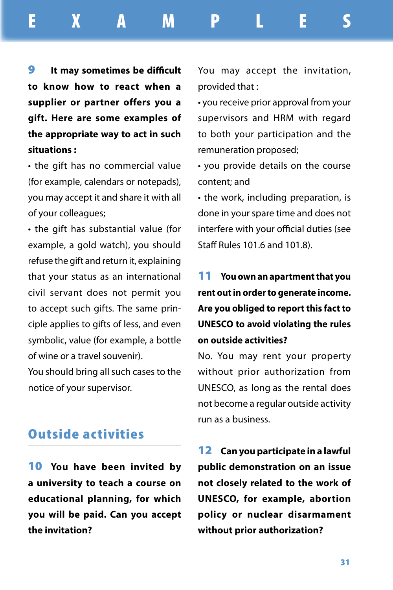9 **It may sometimes be difficult to know how to react when a supplier or partner offers you a gift. Here are some examples of the appropriate way to act in such situations :**

• the gift has no commercial value (for example, calendars or notepads), you may accept it and share it with all of your colleagues;

• the gift has substantial value (for example, a gold watch), you should refuse the gift and return it, explaining that your status as an international civil servant does not permit you to accept such gifts. The same principle applies to gifts of less, and even symbolic, value (for example, a bottle of wine or a travel souvenir).

You should bring all such cases to the notice of your supervisor.

#### Outside activities

10 **You have been invited by a university to teach a course on educational planning, for which you will be paid. Can you accept the invitation?**

You may accept the invitation, provided that :

E X A M P L E S

• you receive prior approval from your supervisors and HRM with regard to both your participation and the remuneration proposed;

• you provide details on the course content; and

• the work, including preparation, is done in your spare time and does not interfere with your official duties (see Staff Rules 101.6 and 101.8).

#### 11 **You own an apartmentthat you rent outin orderto generate income. Are you obliged to report this fact to UNESCO to avoid violating the rules on outside activities?**

No. You may rent your property without prior authorization from UNESCO, as long as the rental does not become a regular outside activity run as a business.

12 **Can youparticipate in a lawful public demonstration on an issue not closely related to the work of UNESCO, for example, abortion policy or nuclear disarmament without prior authorization?**